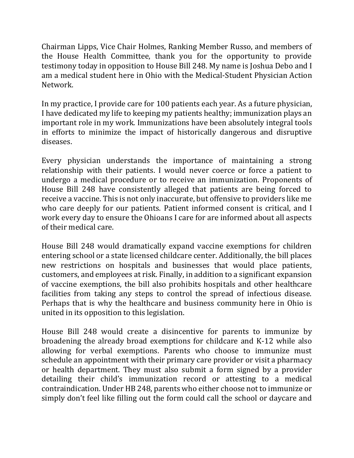Chairman Lipps, Vice Chair Holmes, Ranking Member Russo, and members of the House Health Committee, thank you for the opportunity to provide testimony today in opposition to House Bill 248. My name is Joshua Debo and I am a medical student here in Ohio with the Medical-Student Physician Action Network.

In my practice, I provide care for 100 patients each year. As a future physician, I have dedicated my life to keeping my patients healthy; immunization plays an important role in my work. Immunizations have been absolutely integral tools in efforts to minimize the impact of historically dangerous and disruptive diseases.

Every physician understands the importance of maintaining a strong relationship with their patients. I would never coerce or force a patient to undergo a medical procedure or to receive an immunization. Proponents of House Bill 248 have consistently alleged that patients are being forced to receive a vaccine. This is not only inaccurate, but offensive to providers like me who care deeply for our patients. Patient informed consent is critical, and I work every day to ensure the Ohioans I care for are informed about all aspects of their medical care.

House Bill 248 would dramatically expand vaccine exemptions for children entering school or a state licensed childcare center. Additionally, the bill places new restrictions on hospitals and businesses that would place patients, customers, and employees at risk. Finally, in addition to a significant expansion of vaccine exemptions, the bill also prohibits hospitals and other healthcare facilities from taking any steps to control the spread of infectious disease. Perhaps that is why the healthcare and business community here in Ohio is united in its opposition to this legislation.

House Bill 248 would create a disincentive for parents to immunize by broadening the already broad exemptions for childcare and K-12 while also allowing for verbal exemptions. Parents who choose to immunize must schedule an appointment with their primary care provider or visit a pharmacy or health department. They must also submit a form signed by a provider detailing their child's immunization record or attesting to a medical contraindication. Under HB 248, parents who either choose not to immunize or simply don't feel like filling out the form could call the school or daycare and